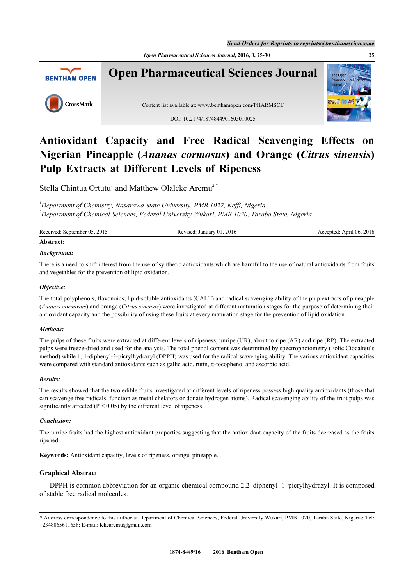*Open Pharmaceutical Sciences Journal***, 2016,** *3***, 25-30 25**



# **Antioxidant Capacity and Free Radical Scavenging Effects on Nigerian Pineapple (***Ananas cormosus***) and Orange (***Citrus sinensis***) Pulp Extracts at Different Levels of Ripeness**

Stella Chintua Ortutu<sup>[1](#page-0-0)</sup> and Matthew Olaleke Aremu<sup>[2,](#page-0-1)[\\*](#page-0-2)</sup>

<span id="page-0-1"></span><span id="page-0-0"></span>*<sup>1</sup>Department of Chemistry, Nasarawa State University, PMB 1022, Keffi, Nigeria <sup>2</sup>Department of Chemical Sciences, Federal University Wukari, PMB 1020, Taraba State, Nigeria*

Received: September 05, 2015 Revised: January 01, 2016 Accepted: April 06, 2016 Accepted: April 06, 2016

#### **Abstract:**

# *Background:*

There is a need to shift interest from the use of synthetic antioxidants which are harmful to the use of natural antioxidants from fruits and vegetables for the prevention of lipid oxidation.

#### *Objective:*

The total polyphenols, flavonoids, lipid-soluble antioxidants (CALT) and radical scavenging ability of the pulp extracts of pineapple (*Ananas cormosus*) and orange (*Citrus sinensis*) were investigated at different maturation stages for the purpose of determining their antioxidant capacity and the possibility of using these fruits at every maturation stage for the prevention of lipid oxidation.

## *Methods:*

The pulps of these fruits were extracted at different levels of ripeness; unripe (UR), about to ripe (AR) and ripe (RP). The extracted pulps were freeze-dried and used for the analysis. The total phenol content was determined by spectrophotometry (Folic Ciocalteu's method) while 1, 1-diphenyl-2-picrylhydrazyl (DPPH) was used for the radical scavenging ability. The various antioxidant capacities were compared with standard antioxidants such as gallic acid, rutin, α-tocophenol and ascorbic acid.

#### *Results:*

The results showed that the two edible fruits investigated at different levels of ripeness possess high quality antioxidants (those that can scavenge free radicals, function as metal chelators or donate hydrogen atoms). Radical scavenging ability of the fruit pulps was significantly affected ( $P < 0.05$ ) by the different level of ripeness.

## *Conclusion:*

The unripe fruits had the highest antioxidant properties suggesting that the antioxidant capacity of the fruits decreased as the fruits ripened.

**Keywords:** Antioxidant capacity, levels of ripeness, orange, pineapple.

## **Graphical Abstract**

DPPH is common abbreviation for an organic chemical compound 2,2–diphenyl–1–picrylhydrazyl. It is composed of stable free radical molecules.

<span id="page-0-2"></span>\* Address correspondence to this author at Department of Chemical Sciences, Federal University Wukari, PMB 1020, Taraba State, Nigeria; Tel: +2348065611658; E-mail: [lekearemu@gmail.com](mailto:lekearemu@gmail.com)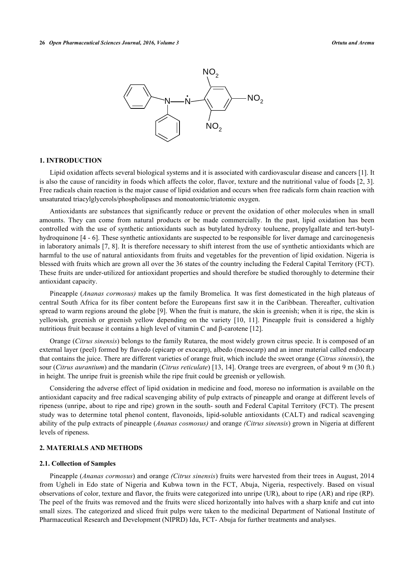

## **1. INTRODUCTION**

Lipid oxidation affects several biological systems and it is associated with cardiovascular disease and cancers [[1](#page-4-0)]. It is also the cause of rancidity in foods which affects the color, flavor, texture and the nutritional value of foods [[2](#page-4-1), [3\]](#page-4-2). Free radicals chain reaction is the major cause of lipid oxidation and occurs when free radicals form chain reaction with unsaturated triacylglycerols/phospholipases and monoatomic/triatomic oxygen.

Antioxidants are substances that significantly reduce or prevent the oxidation of other molecules when in small amounts. They can come from natural products or be made commercially. In the past, lipid oxidation has been controlled with the use of synthetic antioxidants such as butylated hydroxy touluene, propylgallate and tert-butylhydroquinone [[4](#page-4-3) - [6\]](#page-4-4). These synthetic antioxidants are suspected to be responsible for liver damage and carcinogenesis in laboratory animals [\[7](#page-5-0), [8\]](#page-5-1). It is therefore necessary to shift interest from the use of synthetic antioxidants which are harmful to the use of natural antioxidants from fruits and vegetables for the prevention of lipid oxidation. Nigeria is blessed with fruits which are grown all over the 36 states of the country including the Federal Capital Territory (FCT). These fruits are under-utilized for antioxidant properties and should therefore be studied thoroughly to determine their antioxidant capacity.

Pineapple (*Ananas cormosus)* makes up the family Bromelica*.* It was first domesticated in the high plateaus of central South Africa for its fiber content before the Europeans first saw it in the Caribbean. Thereafter, cultivation spread to warm regions around the globe [[9\]](#page-5-2). When the fruit is mature, the skin is greenish; when it is ripe, the skin is yellowish, greenish or greenish yellow depending on the variety[[10](#page-5-3), [11](#page-5-4)]. Pineapple fruit is considered a highly nutritious fruit because it contains a high level of vitamin C and β-carotene [[12\]](#page-5-5).

Orange (*Citrus sinensis*) belongs to the family Rutarea, the most widely grown citrus specie. It is composed of an external layer (peel) formed by flavedo (epicarp or exocarp), albedo (mesocarp) and an inner material called endocarp that contains the juice. There are different varieties of orange fruit, which include the sweet orange (*Citrus sinensis*), the sour (*Citrus aurantium*) and the mandarin (*Citrus reticulate*) [\[13](#page-5-6), [14\]](#page-5-7). Orange trees are evergreen, of about 9 m (30 ft.) in height. The unripe fruit is greenish while the ripe fruit could be greenish or yellowish.

Considering the adverse effect of lipid oxidation in medicine and food, moreso no information is available on the antioxidant capacity and free radical scavenging ability of pulp extracts of pineapple and orange at different levels of ripeness (unripe, about to ripe and ripe) grown in the south- south and Federal Capital Territory (FCT). The present study was to determine total phenol content, flavonoids, lipid-soluble antioxidants (CALT) and radical scavenging ability of the pulp extracts of pineapple (*Ananas cosmosus)* and orange *(Citrus sinensis*) grown in Nigeria at different levels of ripeness.

# **2. MATERIALS AND METHODS**

#### **2.1. Collection of Samples**

Pineapple (*Ananas cormosus*) and orange *(Citrus sinensis*) fruits were harvested from their trees in August, 2014 from Ugheli in Edo state of Nigeria and Kubwa town in the FCT, Abuja, Nigeria, respectively. Based on visual observations of color, texture and flavor, the fruits were categorized into unripe (UR), about to ripe (AR) and ripe (RP). The peel of the fruits was removed and the fruits were sliced horizontally into halves with a sharp knife and cut into small sizes. The categorized and sliced fruit pulps were taken to the medicinal Department of National Institute of Pharmaceutical Research and Development (NIPRD) Idu, FCT- Abuja for further treatments and analyses.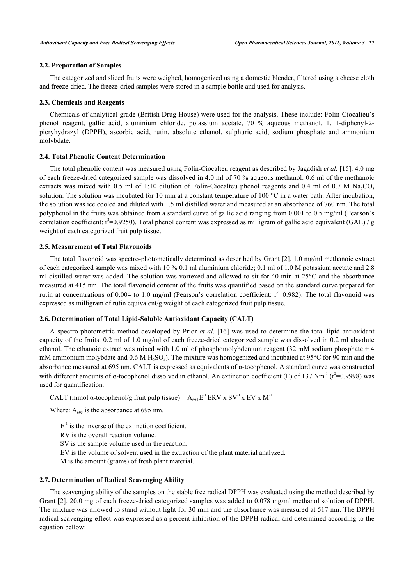# **2.2. Preparation of Samples**

The categorized and sliced fruits were weighed, homogenized using a domestic blender, filtered using a cheese cloth and freeze-dried. The freeze-dried samples were stored in a sample bottle and used for analysis.

#### **2.3. Chemicals and Reagents**

Chemicals of analytical grade (British Drug House) were used for the analysis. These include: Folin-Ciocalteu's phenol reagent, gallic acid, aluminium chloride, potassium acetate, 70 % aqueous methanol, 1, 1-diphenyl-2 picryhydrazyl (DPPH), ascorbic acid, rutin, absolute ethanol, sulphuric acid, sodium phosphate and ammonium molybdate.

# **2.4. Total Phenolic Content Determination**

The total phenolic content was measured using Folin-Ciocalteu reagent as described by Jagadish *et al.* [[15\]](#page-5-8). 4.0 mg of each freeze-dried categorized sample was dissolved in 4.0 ml of 70 % aqueous methanol. 0.6 ml of the methanoic extracts was mixed with 0.5 ml of 1:10 dilution of Folin-Ciocalteu phenol reagents and 0.4 ml of 0.7 M Na<sub>2</sub>CO<sub>3</sub> solution. The solution was incubated for 10 min at a constant temperature of 100  $^{\circ}$ C in a water bath. After incubation, the solution was ice cooled and diluted with 1.5 ml distilled water and measured at an absorbance of 760 nm. The total polyphenol in the fruits was obtained from a standard curve of gallic acid ranging from 0.001 to 0.5 mg/ml (Pearson's correlation coefficient:  $r^2$ =0.9250). Total phenol content was expressed as milligram of gallic acid equivalent (GAE) / g weight of each categorized fruit pulp tissue.

## **2.5. Measurement of Total Flavonoids**

The total flavonoid was spectro-photometically determined as described by Grant [[2\]](#page-4-1). 1.0 mg/ml methanoic extract of each categorized sample was mixed with 10 % 0.1 ml aluminium chloride; 0.1 ml of 1.0 M potassium acetate and 2.8 ml distilled water was added. The solution was vortexed and allowed to sit for 40 min at 25°C and the absorbance measured at 415 nm. The total flavonoid content of the fruits was quantified based on the standard curve prepared for rutin at concentrations of 0.004 to 1.0 mg/ml (Pearson's correlation coefficient:  $r^2$ =0.982). The total flavonoid was expressed as milligram of rutin equivalent/g weight of each categorized fruit pulp tissue.

## **2.6. Determination of Total Lipid-Soluble Antioxidant Capacity (CALT)**

A spectro-photometric method developed by Prior *et al*. [[16](#page-5-9)] was used to determine the total lipid antioxidant capacity of the fruits. 0.2 ml of 1.0 mg/ml of each freeze-dried categorized sample was dissolved in 0.2 ml absolute ethanol. The ethanoic extract was mixed with 1.0 ml of phosphomolybdenium reagent (32 mM sodium phosphate + 4 mM ammonium molybdate and  $0.6$  M H<sub>2</sub>SO<sub>4</sub>). The mixture was homogenized and incubated at 95°C for 90 min and the absorbance measured at 695 nm. CALT is expressed as equivalents of α-tocophenol. A standard curve was constructed with different amounts of  $\alpha$ -tocophenol dissolved in ethanol. An extinction coefficient (E) of 137 Nm<sup>-1</sup> ( $r^2$ =0.9998) was used for quantification.

CALT (mmol  $\alpha$ -tocophenol/g fruit pulp tissue) =  $A_{695}E^{-1}ERV \times SV^{-1} \times EV \times M^{-1}$ 

Where:  $A_{695}$  is the absorbance at 695 nm.

 $E<sup>-1</sup>$  is the inverse of the extinction coefficient.

RV is the overall reaction volume.

SV is the sample volume used in the reaction.

EV is the volume of solvent used in the extraction of the plant material analyzed.

M is the amount (grams) of fresh plant material.

#### **2.7. Determination of Radical Scavenging Ability**

The scavenging ability of the samples on the stable free radical DPPH was evaluated using the method described by Grant [\[2](#page-4-1)]. 20.0 mg of each freeze-dried categorized samples was added to 0.078 mg/ml methanol solution of DPPH. The mixture was allowed to stand without light for 30 min and the absorbance was measured at 517 nm. The DPPH radical scavenging effect was expressed as a percent inhibition of the DPPH radical and determined according to the equation bellow: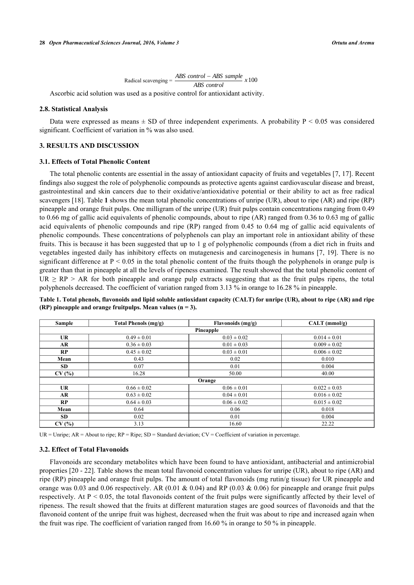$\text{Radical scanning} = \frac{ABS \ control - ABS \ sample}{\text{total} \ \text{number} \ \text{number} \ \text{number} \ \text{number} \ \text{number} \ \text{number} \ \text{number} \ \text{number} \ \text{number} \ \text{number} \ \text{number} \ \text{number} \ \text{number} \ \text{number} \ \text{number} \ \text{number} \ \text{number} \ \text{number} \ \text{number} \ \text{number} \ \text{number} \ \text{number} \ \text{number} \ \text{number} \ \text{number} \ \text{number} \ \text{number} \ \text{number} \ \text{number} \ \text{number} \ \text{number} \ \text{number} \ \text{$ *ABS control*

Ascorbic acid solution was used as a positive control for antioxidant activity.

#### **2.8. Statistical Analysis**

Data were expressed as means  $\pm$  SD of three independent experiments. A probability P < 0.05 was considered significant. Coefficient of variation in % was also used.

## **3. RESULTS AND DISCUSSION**

#### **3.1. Effects of Total Phenolic Content**

The total phenolic contents are essential in the assay of antioxidant capacity of fruits and vegetables [[7](#page-5-0)[, 17](#page-5-10)]. Recent findings also suggest the role of polyphenolic compounds as protective agents against cardiovascular disease and breast, gastrointestinal and skin cancers due to their oxidative/antioxidative potential or their ability to act as free radical scavengers [[18\]](#page-5-11). Table **[1](#page-3-0)** shows the mean total phenolic concentrations of unripe (UR), about to ripe (AR) and ripe (RP) pineapple and orange fruit pulps. One milligram of the unripe (UR) fruit pulps contain concentrations ranging from 0.49 to 0.66 mg of gallic acid equivalents of phenolic compounds, about to ripe (AR) ranged from 0.36 to 0.63 mg of gallic acid equivalents of phenolic compounds and ripe (RP) ranged from 0.45 to 0.64 mg of gallic acid equivalents of phenolic compounds. These concentrations of polyphenols can play an important role in antioxidant ability of these fruits. This is because it has been suggested that up to 1 g of polyphenolic compounds (from a diet rich in fruits and vegetables ingested daily has inhibitory effects on mutagenesis and carcinogenesis in humans [[7](#page-5-0), [19\]](#page-5-12). There is no significant difference at  $P < 0.05$  in the total phenolic content of the fruits though the polyphenols in orange pulp is greater than that in pineapple at all the levels of ripeness examined. The result showed that the total phenolic content of  $UR \ge RP \ge AR$  for both pineapple and orange pulp extracts suggesting that as the fruit pulps ripens, the total polyphenols decreased. The coefficient of variation ranged from 3.13 % in orange to 16.28 % in pineapple.

<span id="page-3-0"></span>**Table 1. Total phenols, flavonoids and lipid soluble antioxidant capacity (CALT) for unripe (UR), about to ripe (AR) and ripe (RP) pineapple and orange fruitpulps. Mean values (n = 3).**

| Sample    | Total Phenols (mg/g) | Flavonoids (mg/g) | $CALT$ (mmol/g)  |  |  |  |  |  |
|-----------|----------------------|-------------------|------------------|--|--|--|--|--|
| Pineapple |                      |                   |                  |  |  |  |  |  |
| <b>UR</b> | $0.49 \pm 0.01$      | $0.03 \pm 0.02$   | $0.014 \pm 0.01$ |  |  |  |  |  |
| AR.       | $0.36 \pm 0.03$      | $0.01 \pm 0.03$   | $0.009 \pm 0.02$ |  |  |  |  |  |
| RP        | $0.45 \pm 0.02$      | $0.03 \pm 0.01$   | $0.006 \pm 0.02$ |  |  |  |  |  |
| Mean      | 0.43                 | 0.02              | 0.010            |  |  |  |  |  |
| SD.       | 0.07                 | 0.01              | 0.004            |  |  |  |  |  |
| CV(%)     | 16.28                | 50.00             | 40.00            |  |  |  |  |  |
| Orange    |                      |                   |                  |  |  |  |  |  |
| <b>UR</b> | $0.66 \pm 0.02$      | $0.06 \pm 0.01$   | $0.022 \pm 0.03$ |  |  |  |  |  |
| AR        | $0.63 \pm 0.02$      | $0.04 \pm 0.01$   | $0.016 \pm 0.02$ |  |  |  |  |  |
| RP        | $0.64 \pm 0.03$      | $0.06 \pm 0.02$   | $0.015 \pm 0.02$ |  |  |  |  |  |
| Mean      | 0.64                 | 0.06              | 0.018            |  |  |  |  |  |
| SD.       | 0.02                 | 0.01              | 0.004            |  |  |  |  |  |
| CV(%)     | 3.13                 | 16.60             | 22.22            |  |  |  |  |  |

UR = Unripe;  $AR =$  About to ripe;  $RP =$  Ripe;  $SD =$  Standard deviation;  $CV =$  Coefficient of variation in percentage.

#### **3.2. Effect of Total Flavonoids**

Flavonoids are secondary metabolites which have been found to have antioxidant, antibacterial and antimicrobial properties [[20](#page-5-13) - [22](#page-5-14)]. Table shows the mean total flavonoid concentration values for unripe (UR), about to ripe (AR) and ripe (RP) pineapple and orange fruit pulps. The amount of total flavonoids (mg rutin/g tissue) for UR pineapple and orange was 0.03 and 0.06 respectively. AR (0.01 & 0.04) and RP (0.03 & 0.06) for pineapple and orange fruit pulps respectively. At  $P < 0.05$ , the total flavonoids content of the fruit pulps were significantly affected by their level of ripeness. The result showed that the fruits at different maturation stages are good sources of flavonoids and that the flavonoid content of the unripe fruit was highest, decreased when the fruit was about to ripe and increased again when the fruit was ripe. The coefficient of variation ranged from 16.60 % in orange to 50 % in pineapple.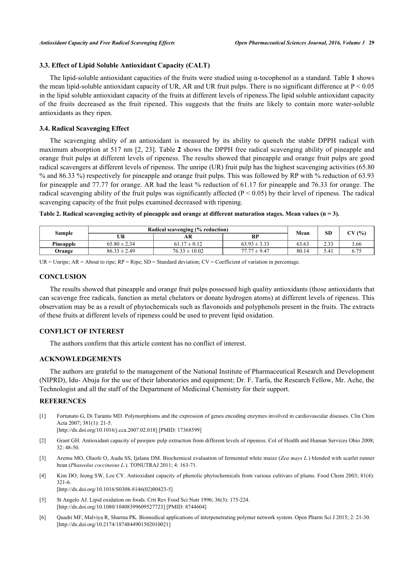# **3.3. Effect of Lipid Soluble Antioxidant Capacity (CALT)**

The lipid-soluble antioxidant capacities of the fruits were studied using α-tocophenol as a standard. Table **[1](#page-3-0)** shows the mean lipid-soluble antioxidant capacity of UR, AR and UR fruit pulps. There is no significant difference at P < 0.05 in the lipid soluble antioxidant capacity of the fruits at different levels of ripeness.The lipid soluble antioxidant capacity of the fruits decreased as the fruit ripened. This suggests that the fruits are likely to contain more water-soluble antioxidants as they ripen.

# **3.4. Radical Scavenging Effect**

The scavenging ability of an antioxidant is measured by its ability to quench the stable DPPH radical with maximum absorption at 517 nm [[2](#page-4-1)[, 23](#page-5-15)]. Table **[2](#page-4-5)** shows the DPPH free radical scavenging ability of pineapple and orange fruit pulps at different levels of ripeness. The results showed that pineapple and orange fruit pulps are good radical scavengers at different levels of ripeness. The unripe (UR) fruit pulp has the highest scavenging activities (65.80 % and 86.33 %) respectively for pineapple and orange fruit pulps. This was followed by RP with % reduction of 63.93 for pineapple and 77.77 for orange. AR had the least % reduction of 61.17 for pineapple and 76.33 for orange. The radical scavenging ability of the fruit pulps was significantly affected ( $P < 0.05$ ) by their level of ripeness. The radical scavenging capacity of the fruit pulps examined decreased with ripening.

<span id="page-4-5"></span>

| Table 2. Radical scavenging activity of pineapple and orange at different maturation stages. Mean values ( $n = 3$ ). |  |  |
|-----------------------------------------------------------------------------------------------------------------------|--|--|
|                                                                                                                       |  |  |

| Sample    | Radical scavenging (% reduction) |                   |                  | Mean  | <b>SD</b> |        |
|-----------|----------------------------------|-------------------|------------------|-------|-----------|--------|
|           | UR                               | AR.               | <b>RP</b>        |       |           | CV (%) |
| Pineapple | $65.80 \pm 2.34$                 | $61.17 \pm 0.12$  | $63.93 \pm 3.33$ | 63.63 | 2.33      | 3.66   |
| Orange    | $86.33 \pm 2.49$                 | $76.33 \pm 10.02$ | $77.77 \pm 9.47$ | 80.14 | 5.41      |        |

UR = Unripe;  $AR =$  About to ripe;  $RP =$  Ripe;  $SD =$  Standard deviation;  $CV =$  Coefficient of variation in percentage.

# **CONCLUSION**

The results showed that pineapple and orange fruit pulps possessed high quality antioxidants (those antioxidants that can scavenge free radicals, function as metal chelators or donate hydrogen atoms) at different levels of ripeness. This observation may be as a result of phytochemicals such as flavonoids and polyphenols present in the fruits. The extracts of these fruits at different levels of ripeness could be used to prevent lipid oxidation.

## **CONFLICT OF INTEREST**

The authors confirm that this article content has no conflict of interest.

# **ACKNOWLEDGEMENTS**

The authors are grateful to the management of the National Institute of Pharmaceutical Research and Development (NIPRD), Idu- Abuja for the use of their laboratories and equipment; Dr. F. Tarfa, the Research Fellow, Mr. Ache, the Technologist and all the staff of the Department of Medicinal Chemistry for their support.

#### **REFERENCES**

<span id="page-4-0"></span>[1] Fortunato G, Di Taranto MD. Polymorphisms and the expression of genes encoding enzymes involved in cardiovascular diseases. Clin Chim Acta 2007; 381(1): 21-5.

[\[http://dx.doi.org/10.1016/j.cca.2007.02.018\]](http://dx.doi.org/10.1016/j.cca.2007.02.018) [PMID: [17368599](http://www.ncbi.nlm.nih.gov/pubmed/17368599)]

- <span id="page-4-1"></span>[2] Grant GH. Antioxidant capacity of pawpaw pulp extraction from different levels of ripeness. Col of Health and Human Services Ohio 2008; 32: 48-50.
- <span id="page-4-2"></span>[3] Aremu MO, Olaofe O, Audu SS, Ijalana DM. Biochemical evaluation of fermented white maize (*Zea mays L.*) blended with scarlet runner bean (*Phaseolus coccineous L.*). TONUTRAJ 2011; 4: 163-71.
- <span id="page-4-3"></span>[4] Kim DO, Jeong SW, Lee CY. Antioxidant capacity of phenolic phytochemicals from various cultivars of plums. Food Chem 2003; 81(4): 321-6.
	- [\[http://dx.doi.org/10.1016/S0308-8146\(02\)00423-5\]](http://dx.doi.org/10.1016/S0308-8146(02)00423-5)
- [5] St Angelo AJ. Lipid oxidation on foods. Crit Rev Food Sci Nutr 1996; 36(3): 175-224. [\[http://dx.doi.org/10.1080/10408399609527723\]](http://dx.doi.org/10.1080/10408399609527723) [PMID: [8744604](http://www.ncbi.nlm.nih.gov/pubmed/8744604)]
- <span id="page-4-4"></span>[6] Quadri MF, Malviya R, Sharma PK. Biomedical applications of interpenetrating polymer network system. Open Pharm Sci J 2015; 2: 21-30. [\[http://dx.doi.org/10.2174/1874844901502010021\]](http://dx.doi.org/10.2174/1874844901502010021)